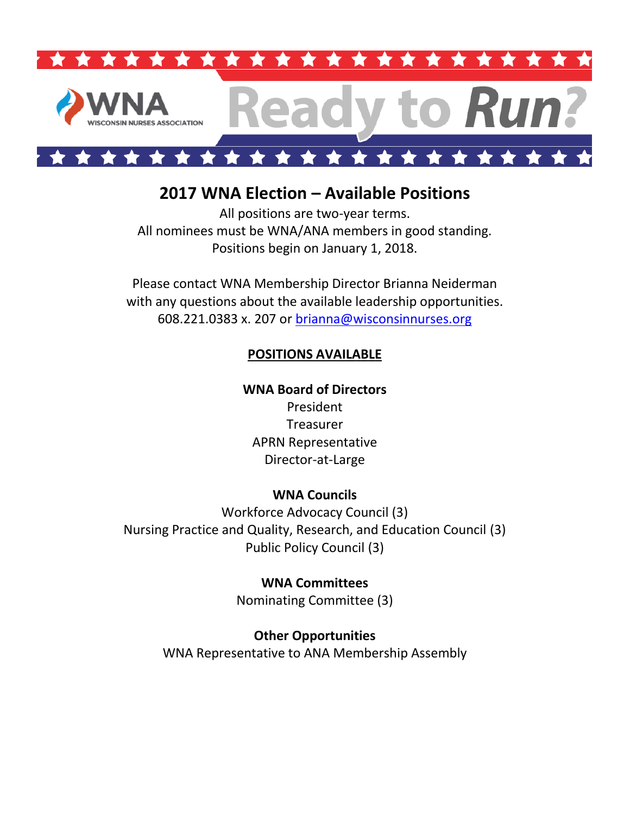

# **2017 WNA Election – Available Positions**

All positions are two-year terms. All nominees must be WNA/ANA members in good standing. Positions begin on January 1, 2018.

Please contact WNA Membership Director Brianna Neiderman with any questions about the available leadership opportunities. 608.221.0383 x. 207 or [brianna@wisconsinnurses.org](mailto:brianna@wisconsinnurses.org)

# **POSITIONS AVAILABLE**

**[WNA Board of Directors](#page-1-0)** [President](#page-1-1) [Treasurer](#page-4-0) [APRN Representative](#page-6-0) [Director-at-Large](#page-7-0)

### **[WNA Councils](#page-8-0)**

[Workforce Advocacy Council](#page-8-1) (3) [Nursing Practice and Quality, Research, and Education Council](#page-8-2) (3) [Public Policy Council](#page-9-0) (3)

### **[WNA Committees](#page-10-0)**

[Nominating Committee](#page-10-1) (3)

### **Other Opportunities**

[WNA Representative to ANA Membership Assembly](#page-11-0)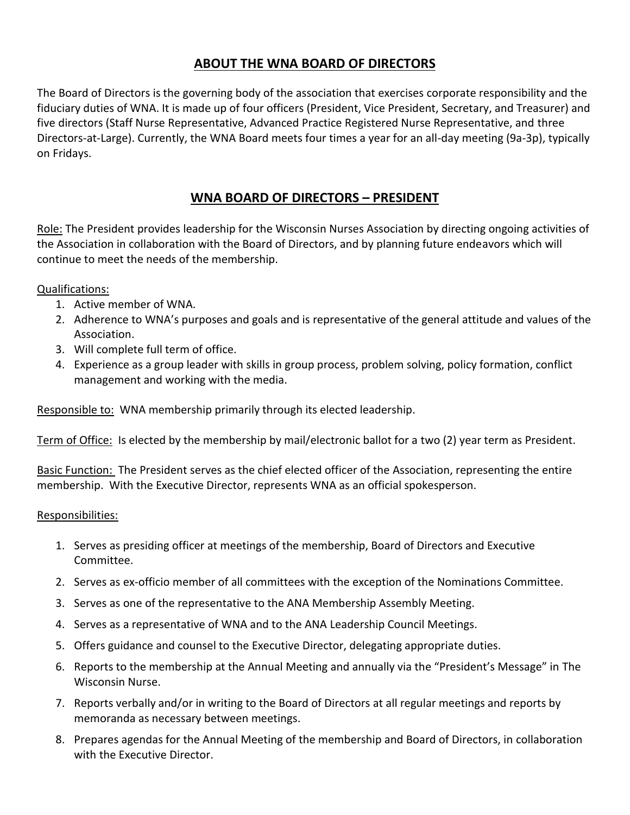# **ABOUT THE WNA BOARD OF DIRECTORS**

<span id="page-1-0"></span>The Board of Directors is the governing body of the association that exercises corporate responsibility and the fiduciary duties of WNA. It is made up of four officers (President, Vice President, Secretary, and Treasurer) and five directors (Staff Nurse Representative, Advanced Practice Registered Nurse Representative, and three Directors-at-Large). Currently, the WNA Board meets four times a year for an all-day meeting (9a-3p), typically on Fridays.

# **WNA BOARD OF DIRECTORS – PRESIDENT**

<span id="page-1-1"></span>Role: The President provides leadership for the Wisconsin Nurses Association by directing ongoing activities of the Association in collaboration with the Board of Directors, and by planning future endeavors which will continue to meet the needs of the membership.

### Qualifications:

- 1. Active member of WNA.
- 2. Adherence to WNA's purposes and goals and is representative of the general attitude and values of the Association.
- 3. Will complete full term of office.
- 4. Experience as a group leader with skills in group process, problem solving, policy formation, conflict management and working with the media.

Responsible to: WNA membership primarily through its elected leadership.

Term of Office: Is elected by the membership by mail/electronic ballot for a two (2) year term as President.

Basic Function: The President serves as the chief elected officer of the Association, representing the entire membership. With the Executive Director, represents WNA as an official spokesperson.

#### Responsibilities:

- 1. Serves as presiding officer at meetings of the membership, Board of Directors and Executive Committee.
- 2. Serves as ex-officio member of all committees with the exception of the Nominations Committee.
- 3. Serves as one of the representative to the ANA Membership Assembly Meeting.
- 4. Serves as a representative of WNA and to the ANA Leadership Council Meetings.
- 5. Offers guidance and counsel to the Executive Director, delegating appropriate duties.
- 6. Reports to the membership at the Annual Meeting and annually via the "President's Message" in The Wisconsin Nurse.
- 7. Reports verbally and/or in writing to the Board of Directors at all regular meetings and reports by memoranda as necessary between meetings.
- 8. Prepares agendas for the Annual Meeting of the membership and Board of Directors, in collaboration with the Executive Director.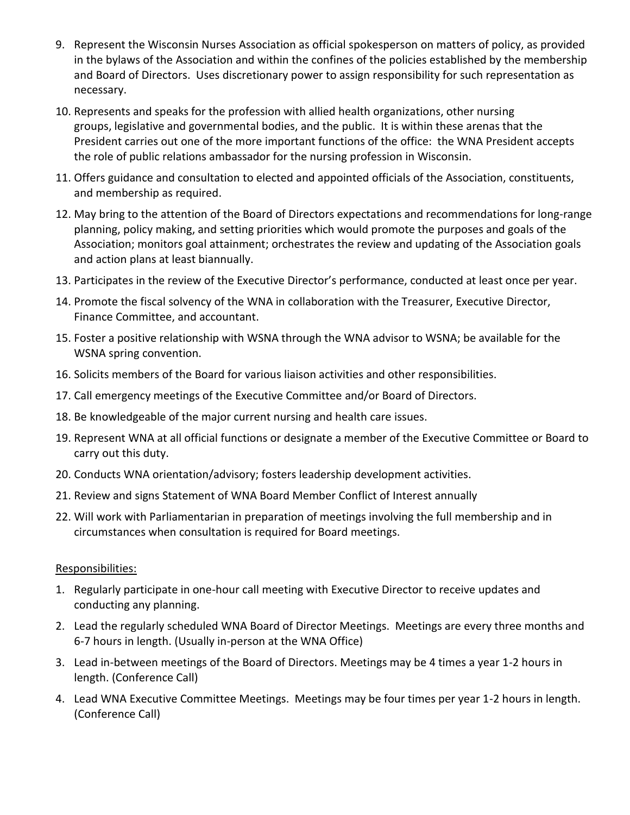- 9. Represent the Wisconsin Nurses Association as official spokesperson on matters of policy, as provided in the bylaws of the Association and within the confines of the policies established by the membership and Board of Directors. Uses discretionary power to assign responsibility for such representation as necessary.
- 10. Represents and speaks for the profession with allied health organizations, other nursing groups, legislative and governmental bodies, and the public. It is within these arenas that the President carries out one of the more important functions of the office: the WNA President accepts the role of public relations ambassador for the nursing profession in Wisconsin.
- 11. Offers guidance and consultation to elected and appointed officials of the Association, constituents, and membership as required.
- 12. May bring to the attention of the Board of Directors expectations and recommendations for long-range planning, policy making, and setting priorities which would promote the purposes and goals of the Association; monitors goal attainment; orchestrates the review and updating of the Association goals and action plans at least biannually.
- 13. Participates in the review of the Executive Director's performance, conducted at least once per year.
- 14. Promote the fiscal solvency of the WNA in collaboration with the Treasurer, Executive Director, Finance Committee, and accountant.
- 15. Foster a positive relationship with WSNA through the WNA advisor to WSNA; be available for the WSNA spring convention.
- 16. Solicits members of the Board for various liaison activities and other responsibilities.
- 17. Call emergency meetings of the Executive Committee and/or Board of Directors.
- 18. Be knowledgeable of the major current nursing and health care issues.
- 19. Represent WNA at all official functions or designate a member of the Executive Committee or Board to carry out this duty.
- 20. Conducts WNA orientation/advisory; fosters leadership development activities.
- 21. Review and signs Statement of WNA Board Member Conflict of Interest annually
- 22. Will work with Parliamentarian in preparation of meetings involving the full membership and in circumstances when consultation is required for Board meetings.

#### Responsibilities:

- 1. Regularly participate in one-hour call meeting with Executive Director to receive updates and conducting any planning.
- 2. Lead the regularly scheduled WNA Board of Director Meetings. Meetings are every three months and 6-7 hours in length. (Usually in-person at the WNA Office)
- 3. Lead in-between meetings of the Board of Directors. Meetings may be 4 times a year 1-2 hours in length. (Conference Call)
- 4. Lead WNA Executive Committee Meetings. Meetings may be four times per year 1-2 hours in length. (Conference Call)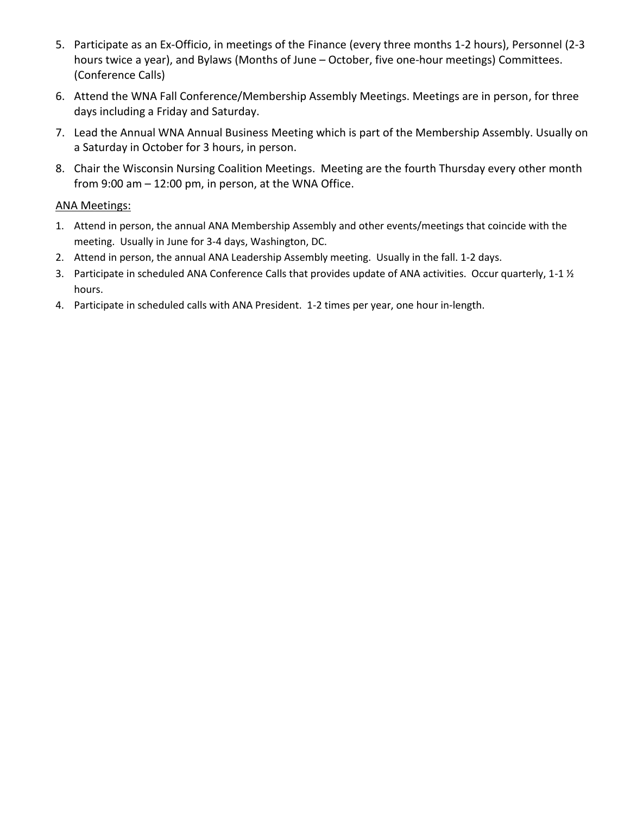- 5. Participate as an Ex-Officio, in meetings of the Finance (every three months 1-2 hours), Personnel (2-3 hours twice a year), and Bylaws (Months of June – October, five one-hour meetings) Committees. (Conference Calls)
- 6. Attend the WNA Fall Conference/Membership Assembly Meetings. Meetings are in person, for three days including a Friday and Saturday.
- 7. Lead the Annual WNA Annual Business Meeting which is part of the Membership Assembly. Usually on a Saturday in October for 3 hours, in person.
- 8. Chair the Wisconsin Nursing Coalition Meetings. Meeting are the fourth Thursday every other month from 9:00 am – 12:00 pm, in person, at the WNA Office.

#### ANA Meetings:

- 1. Attend in person, the annual ANA Membership Assembly and other events/meetings that coincide with the meeting. Usually in June for 3-4 days, Washington, DC.
- 2. Attend in person, the annual ANA Leadership Assembly meeting. Usually in the fall. 1-2 days.
- 3. Participate in scheduled ANA Conference Calls that provides update of ANA activities. Occur quarterly, 1-1 ½ hours.
- 4. Participate in scheduled calls with ANA President. 1-2 times per year, one hour in-length.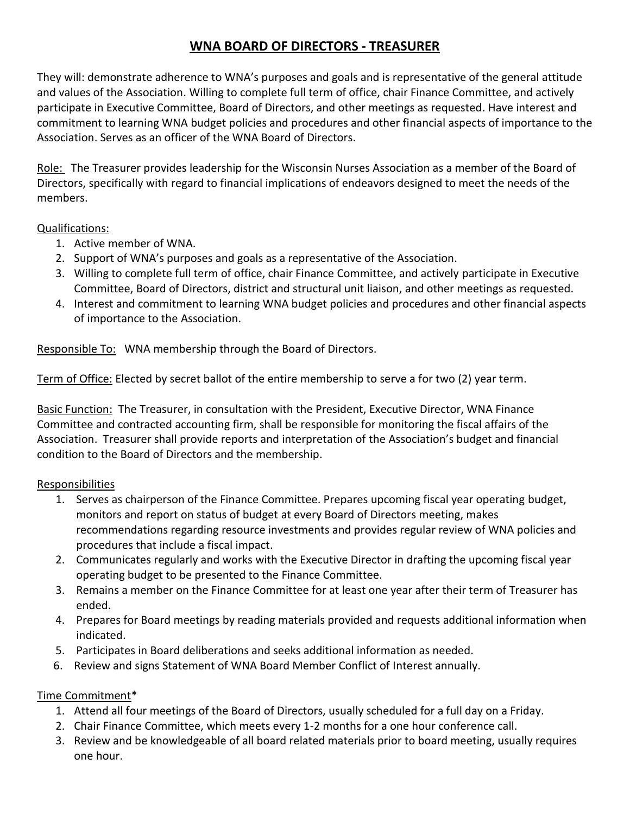# **WNA BOARD OF DIRECTORS - TREASURER**

<span id="page-4-0"></span>They will: demonstrate adherence to WNA's purposes and goals and is representative of the general attitude and values of the Association. Willing to complete full term of office, chair Finance Committee, and actively participate in Executive Committee, Board of Directors, and other meetings as requested. Have interest and commitment to learning WNA budget policies and procedures and other financial aspects of importance to the Association. Serves as an officer of the WNA Board of Directors.

Role: The Treasurer provides leadership for the Wisconsin Nurses Association as a member of the Board of Directors, specifically with regard to financial implications of endeavors designed to meet the needs of the members.

### Qualifications:

- 1. Active member of WNA.
- 2. Support of WNA's purposes and goals as a representative of the Association.
- 3. Willing to complete full term of office, chair Finance Committee, and actively participate in Executive Committee, Board of Directors, district and structural unit liaison, and other meetings as requested.
- 4. Interest and commitment to learning WNA budget policies and procedures and other financial aspects of importance to the Association.

Responsible To: WNA membership through the Board of Directors.

Term of Office: Elected by secret ballot of the entire membership to serve a for two (2) year term.

Basic Function: The Treasurer, in consultation with the President, Executive Director, WNA Finance Committee and contracted accounting firm, shall be responsible for monitoring the fiscal affairs of the Association. Treasurer shall provide reports and interpretation of the Association's budget and financial condition to the Board of Directors and the membership.

#### Responsibilities

- 1. Serves as chairperson of the Finance Committee. Prepares upcoming fiscal year operating budget, monitors and report on status of budget at every Board of Directors meeting, makes recommendations regarding resource investments and provides regular review of WNA policies and procedures that include a fiscal impact.
- 2. Communicates regularly and works with the Executive Director in drafting the upcoming fiscal year operating budget to be presented to the Finance Committee.
- 3. Remains a member on the Finance Committee for at least one year after their term of Treasurer has ended.
- 4. Prepares for Board meetings by reading materials provided and requests additional information when indicated.
- 5. Participates in Board deliberations and seeks additional information as needed.
- 6. Review and signs Statement of WNA Board Member Conflict of Interest annually.

### Time Commitment\*

- 1. Attend all four meetings of the Board of Directors, usually scheduled for a full day on a Friday.
- 2. Chair Finance Committee, which meets every 1-2 months for a one hour conference call.
- 3. Review and be knowledgeable of all board related materials prior to board meeting, usually requires one hour.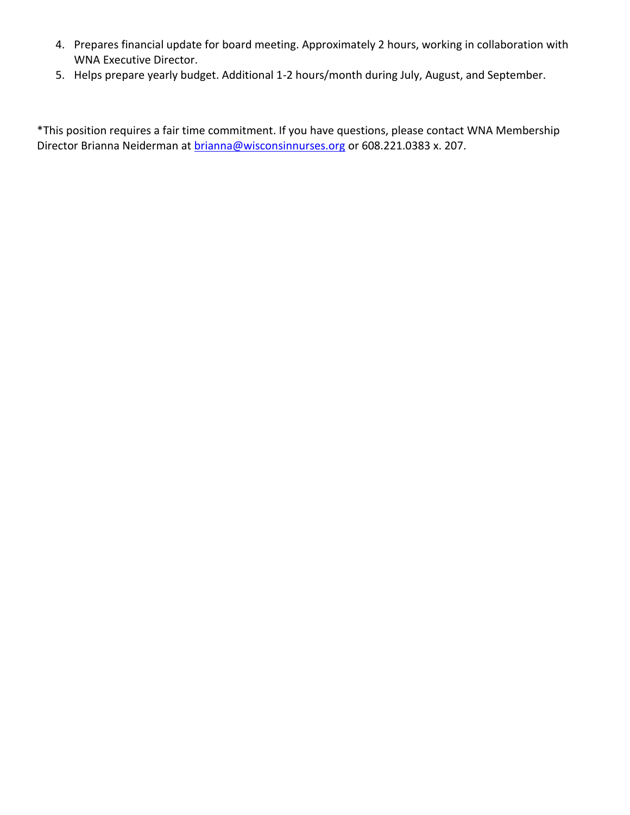- 4. Prepares financial update for board meeting. Approximately 2 hours, working in collaboration with WNA Executive Director.
- 5. Helps prepare yearly budget. Additional 1-2 hours/month during July, August, and September.

\*This position requires a fair time commitment. If you have questions, please contact WNA Membership Director Brianna Neiderman at **brianna@wisconsinnurses.org** or 608.221.0383 x. 207.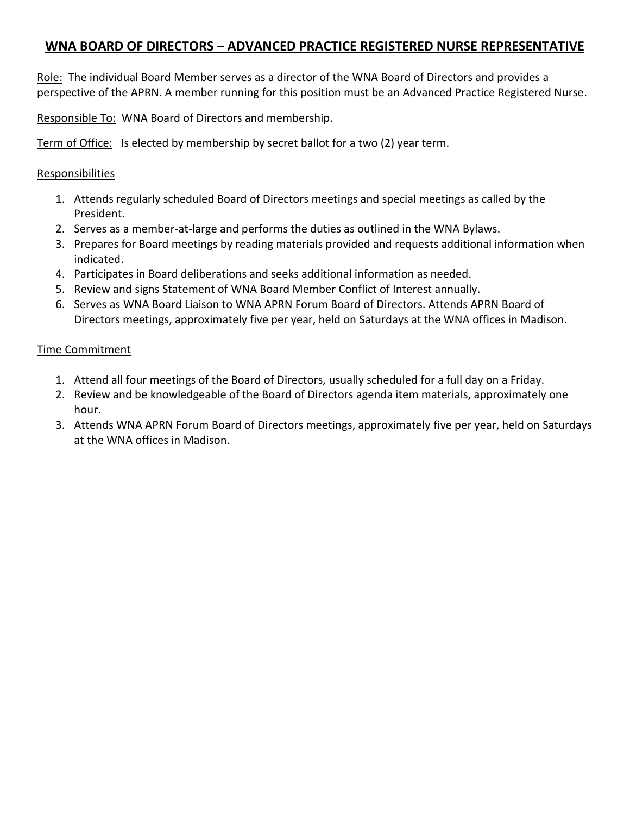### <span id="page-6-0"></span>**WNA BOARD OF DIRECTORS – ADVANCED PRACTICE REGISTERED NURSE REPRESENTATIVE**

Role: The individual Board Member serves as a director of the WNA Board of Directors and provides a perspective of the APRN. A member running for this position must be an Advanced Practice Registered Nurse.

Responsible To: WNA Board of Directors and membership.

Term of Office: Is elected by membership by secret ballot for a two (2) year term.

#### Responsibilities

- 1. Attends regularly scheduled Board of Directors meetings and special meetings as called by the President.
- 2. Serves as a member-at-large and performs the duties as outlined in the WNA Bylaws.
- 3. Prepares for Board meetings by reading materials provided and requests additional information when indicated.
- 4. Participates in Board deliberations and seeks additional information as needed.
- 5. Review and signs Statement of WNA Board Member Conflict of Interest annually.
- 6. Serves as WNA Board Liaison to WNA APRN Forum Board of Directors. Attends APRN Board of Directors meetings, approximately five per year, held on Saturdays at the WNA offices in Madison.

#### Time Commitment

- 1. Attend all four meetings of the Board of Directors, usually scheduled for a full day on a Friday.
- 2. Review and be knowledgeable of the Board of Directors agenda item materials, approximately one hour.
- 3. Attends WNA APRN Forum Board of Directors meetings, approximately five per year, held on Saturdays at the WNA offices in Madison.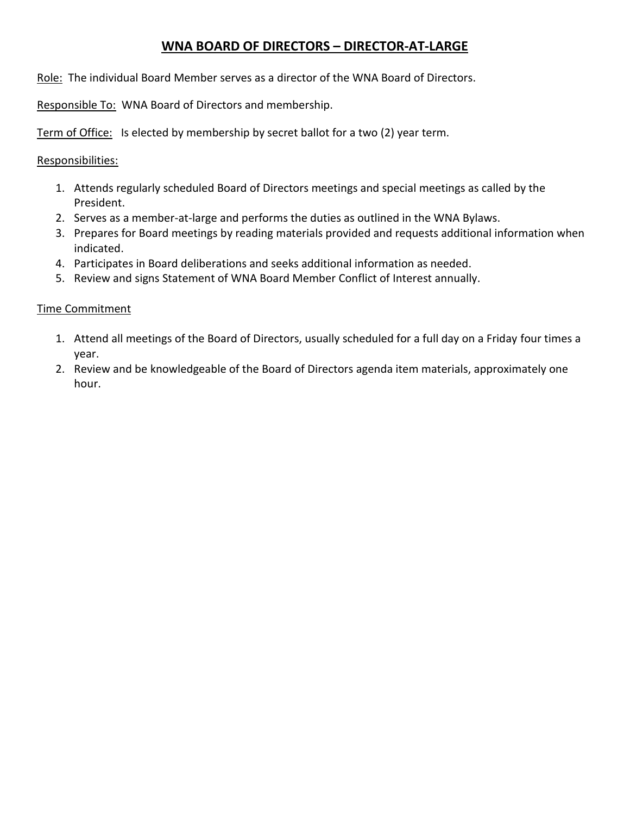# **WNA BOARD OF DIRECTORS – DIRECTOR-AT-LARGE**

<span id="page-7-0"></span>Role: The individual Board Member serves as a director of the WNA Board of Directors.

Responsible To: WNA Board of Directors and membership.

Term of Office: Is elected by membership by secret ballot for a two (2) year term.

#### Responsibilities:

- 1. Attends regularly scheduled Board of Directors meetings and special meetings as called by the President.
- 2. Serves as a member-at-large and performs the duties as outlined in the WNA Bylaws.
- 3. Prepares for Board meetings by reading materials provided and requests additional information when indicated.
- 4. Participates in Board deliberations and seeks additional information as needed.
- 5. Review and signs Statement of WNA Board Member Conflict of Interest annually.

### Time Commitment

- 1. Attend all meetings of the Board of Directors, usually scheduled for a full day on a Friday four times a year.
- 2. Review and be knowledgeable of the Board of Directors agenda item materials, approximately one hour.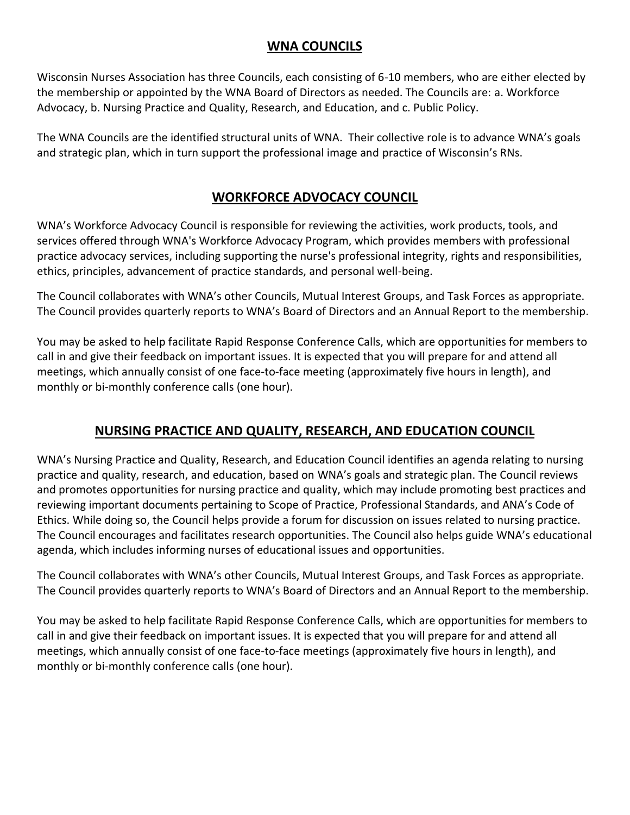### **WNA COUNCILS**

<span id="page-8-0"></span>Wisconsin Nurses Association has three Councils, each consisting of 6-10 members, who are either elected by the membership or appointed by the WNA Board of Directors as needed. The Councils are: a. Workforce Advocacy, b. Nursing Practice and Quality, Research, and Education, and c. Public Policy.

The WNA Councils are the identified structural units of WNA. Their collective role is to advance WNA's goals and strategic plan, which in turn support the professional image and practice of Wisconsin's RNs.

# **WORKFORCE ADVOCACY COUNCIL**

<span id="page-8-1"></span>WNA's Workforce Advocacy Council is responsible for reviewing the activities, work products, tools, and services offered through WNA's Workforce Advocacy Program, which provides members with professional practice advocacy services, including supporting the nurse's professional integrity, rights and responsibilities, ethics, principles, advancement of practice standards, and personal well-being.

The Council collaborates with WNA's other Councils, Mutual Interest Groups, and Task Forces as appropriate. The Council provides quarterly reports to WNA's Board of Directors and an Annual Report to the membership.

You may be asked to help facilitate Rapid Response Conference Calls, which are opportunities for members to call in and give their feedback on important issues. It is expected that you will prepare for and attend all meetings, which annually consist of one face-to-face meeting (approximately five hours in length), and monthly or bi-monthly conference calls (one hour).

# **NURSING PRACTICE AND QUALITY, RESEARCH, AND EDUCATION COUNCIL**

<span id="page-8-2"></span>WNA's Nursing Practice and Quality, Research, and Education Council identifies an agenda relating to nursing practice and quality, research, and education, based on WNA's goals and strategic plan. The Council reviews and promotes opportunities for nursing practice and quality, which may include promoting best practices and reviewing important documents pertaining to Scope of Practice, Professional Standards, and ANA's Code of Ethics. While doing so, the Council helps provide a forum for discussion on issues related to nursing practice. The Council encourages and facilitates research opportunities. The Council also helps guide WNA's educational agenda, which includes informing nurses of educational issues and opportunities.

The Council collaborates with WNA's other Councils, Mutual Interest Groups, and Task Forces as appropriate. The Council provides quarterly reports to WNA's Board of Directors and an Annual Report to the membership.

You may be asked to help facilitate Rapid Response Conference Calls, which are opportunities for members to call in and give their feedback on important issues. It is expected that you will prepare for and attend all meetings, which annually consist of one face-to-face meetings (approximately five hours in length), and monthly or bi-monthly conference calls (one hour).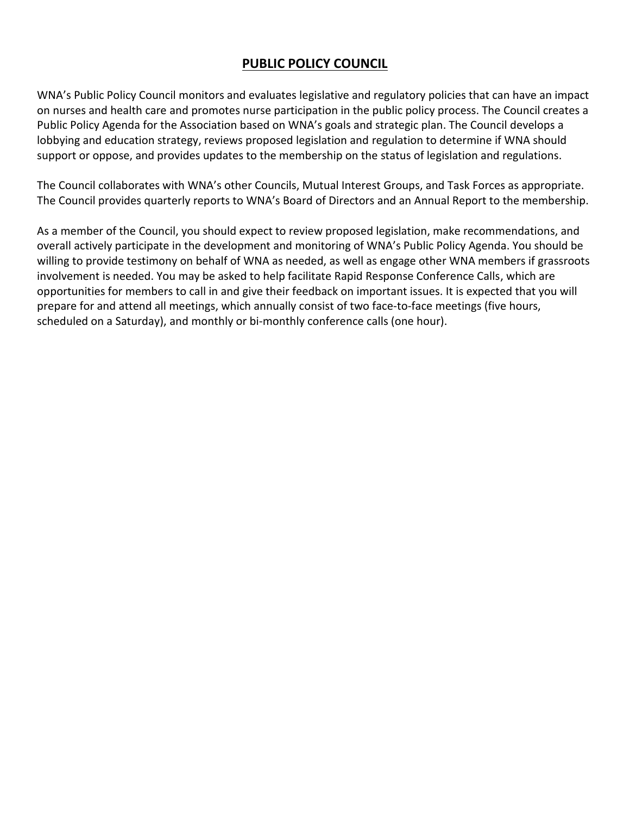### **PUBLIC POLICY COUNCIL**

<span id="page-9-0"></span>WNA's Public Policy Council monitors and evaluates legislative and regulatory policies that can have an impact on nurses and health care and promotes nurse participation in the public policy process. The Council creates a Public Policy Agenda for the Association based on WNA's goals and strategic plan. The Council develops a lobbying and education strategy, reviews proposed legislation and regulation to determine if WNA should support or oppose, and provides updates to the membership on the status of legislation and regulations.

The Council collaborates with WNA's other Councils, Mutual Interest Groups, and Task Forces as appropriate. The Council provides quarterly reports to WNA's Board of Directors and an Annual Report to the membership.

As a member of the Council, you should expect to review proposed legislation, make recommendations, and overall actively participate in the development and monitoring of WNA's Public Policy Agenda. You should be willing to provide testimony on behalf of WNA as needed, as well as engage other WNA members if grassroots involvement is needed. You may be asked to help facilitate Rapid Response Conference Calls, which are opportunities for members to call in and give their feedback on important issues. It is expected that you will prepare for and attend all meetings, which annually consist of two face-to-face meetings (five hours, scheduled on a Saturday), and monthly or bi-monthly conference calls (one hour).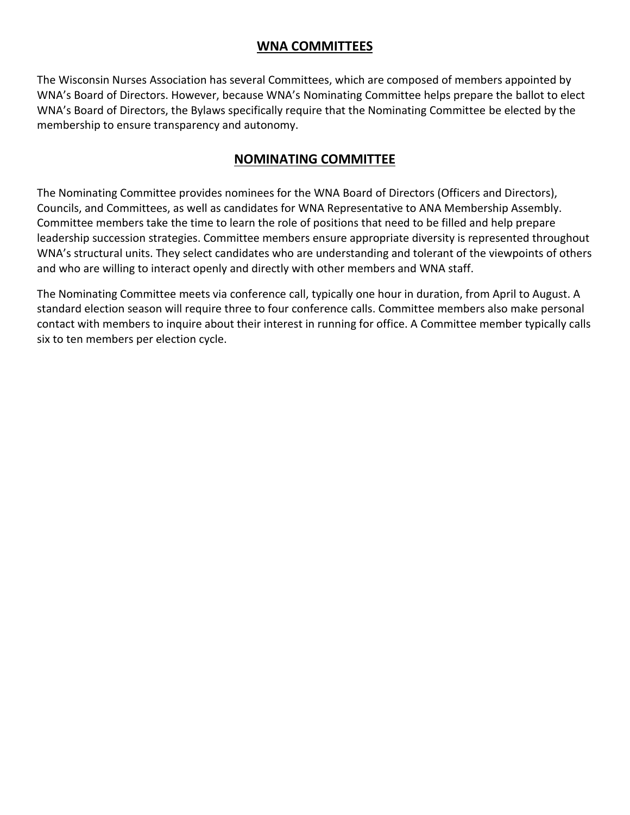### **WNA COMMITTEES**

<span id="page-10-0"></span>The Wisconsin Nurses Association has several Committees, which are composed of members appointed by WNA's Board of Directors. However, because WNA's Nominating Committee helps prepare the ballot to elect WNA's Board of Directors, the Bylaws specifically require that the Nominating Committee be elected by the membership to ensure transparency and autonomy.

# **NOMINATING COMMITTEE**

<span id="page-10-1"></span>The Nominating Committee provides nominees for the WNA Board of Directors (Officers and Directors), Councils, and Committees, as well as candidates for WNA Representative to ANA Membership Assembly. Committee members take the time to learn the role of positions that need to be filled and help prepare leadership succession strategies. Committee members ensure appropriate diversity is represented throughout WNA's structural units. They select candidates who are understanding and tolerant of the viewpoints of others and who are willing to interact openly and directly with other members and WNA staff.

The Nominating Committee meets via conference call, typically one hour in duration, from April to August. A standard election season will require three to four conference calls. Committee members also make personal contact with members to inquire about their interest in running for office. A Committee member typically calls six to ten members per election cycle.